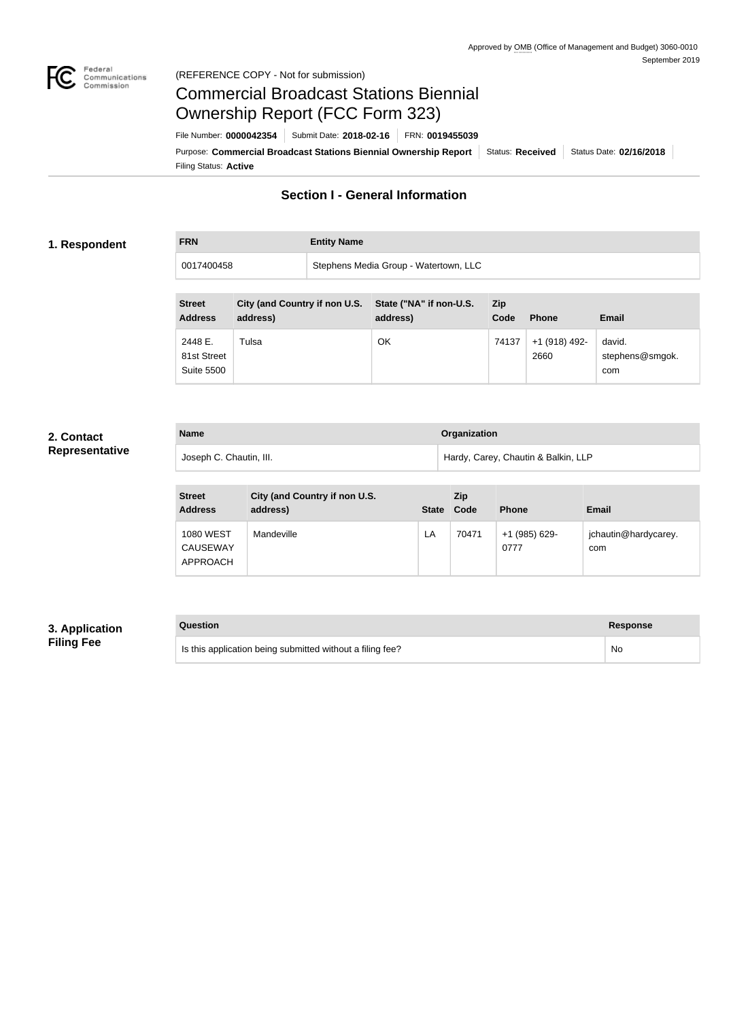

# Federal<br>Communications<br>Commission (REFERENCE COPY - Not for submission)

# Commercial Broadcast Stations Biennial Ownership Report (FCC Form 323)

Filing Status: **Active** Purpose: Commercial Broadcast Stations Biennial Ownership Report Status: Received Status Date: 02/16/2018 File Number: **0000042354** Submit Date: **2018-02-16** FRN: **0019455039**

# **Section I - General Information**

# **1. Respondent**

**FRN Entity Name**

0017400458 Stephens Media Group - Watertown, LLC

| <b>Street</b><br><b>Address</b> | City (and Country if non U.S.<br>address) | State ("NA" if non-U.S.<br>address) | Zip<br>Code | <b>Phone</b>  | Email           |
|---------------------------------|-------------------------------------------|-------------------------------------|-------------|---------------|-----------------|
| 2448 E.                         | Tulsa                                     | OK                                  | 74137       | +1 (918) 492- | david.          |
| 81st Street                     |                                           |                                     |             | 2660          | stephens@smgok. |
| <b>Suite 5500</b>               |                                           |                                     |             |               | com             |

# **2. Contact Representative**

| <b>Name</b>             | Organization                        |
|-------------------------|-------------------------------------|
| Joseph C. Chautin, III. | Hardy, Carey, Chautin & Balkin, LLP |

| <b>Street</b><br><b>Address</b>                 | City (and Country if non U.S.<br>address) | <b>State</b> | <b>Zip</b><br>Code | <b>Phone</b>          | Email                       |
|-------------------------------------------------|-------------------------------------------|--------------|--------------------|-----------------------|-----------------------------|
| <b>1080 WEST</b><br><b>CAUSEWAY</b><br>APPROACH | Mandeville                                | LA           | 70471              | +1 (985) 629-<br>0777 | jchautin@hardycarey.<br>com |

# **3. Application Filing Fee**

| Question                                                  | <b>Response</b> |
|-----------------------------------------------------------|-----------------|
| Is this application being submitted without a filing fee? | No              |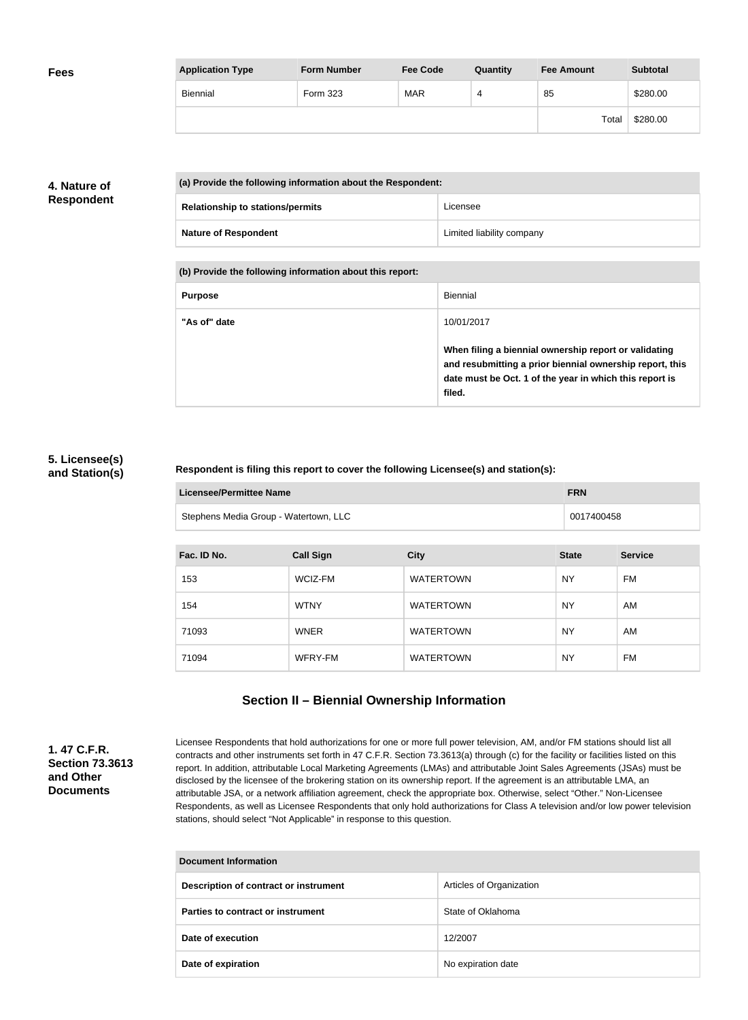| <b>Fees</b> | <b>Application Type</b> | <b>Form Number</b> | <b>Fee Code</b> | Quantity | <b>Fee Amount</b> | <b>Subtotal</b> |
|-------------|-------------------------|--------------------|-----------------|----------|-------------------|-----------------|
|             | Biennial                | Form 323           | <b>MAR</b>      | 4        | 85                | \$280.00        |
|             |                         |                    |                 |          | Total             | \$280.00        |

# **4. Nature of Respondent**

| (a) Provide the following information about the Respondent: |                           |
|-------------------------------------------------------------|---------------------------|
| <b>Relationship to stations/permits</b>                     | Licensee                  |
| <b>Nature of Respondent</b>                                 | Limited liability company |

**(b) Provide the following information about this report:**

| <b>Purpose</b> | Biennial                                                                                                                                                                               |
|----------------|----------------------------------------------------------------------------------------------------------------------------------------------------------------------------------------|
| "As of" date   | 10/01/2017                                                                                                                                                                             |
|                | When filing a biennial ownership report or validating<br>and resubmitting a prior biennial ownership report, this<br>date must be Oct. 1 of the year in which this report is<br>filed. |

# **5. Licensee(s) and Station(s)**

# **Respondent is filing this report to cover the following Licensee(s) and station(s):**

| Licensee/Permittee Name               | <b>FRN</b> |
|---------------------------------------|------------|
| Stephens Media Group - Watertown, LLC | 0017400458 |

| Fac. ID No. | <b>Call Sign</b> | <b>City</b>      | <b>State</b> | <b>Service</b> |
|-------------|------------------|------------------|--------------|----------------|
| 153         | WCIZ-FM          | <b>WATERTOWN</b> | <b>NY</b>    | FM             |
| 154         | <b>WTNY</b>      | <b>WATERTOWN</b> | <b>NY</b>    | AM             |
| 71093       | <b>WNER</b>      | <b>WATERTOWN</b> | <b>NY</b>    | AM             |
| 71094       | WFRY-FM          | <b>WATERTOWN</b> | <b>NY</b>    | FM             |

# **Section II – Biennial Ownership Information**

**1. 47 C.F.R. Section 73.3613 and Other Documents**

Licensee Respondents that hold authorizations for one or more full power television, AM, and/or FM stations should list all contracts and other instruments set forth in 47 C.F.R. Section 73.3613(a) through (c) for the facility or facilities listed on this report. In addition, attributable Local Marketing Agreements (LMAs) and attributable Joint Sales Agreements (JSAs) must be disclosed by the licensee of the brokering station on its ownership report. If the agreement is an attributable LMA, an attributable JSA, or a network affiliation agreement, check the appropriate box. Otherwise, select "Other." Non-Licensee Respondents, as well as Licensee Respondents that only hold authorizations for Class A television and/or low power television stations, should select "Not Applicable" in response to this question.

| <b>Document Information</b>           |                          |
|---------------------------------------|--------------------------|
| Description of contract or instrument | Articles of Organization |
| Parties to contract or instrument     | State of Oklahoma        |
| Date of execution                     | 12/2007                  |
| Date of expiration                    | No expiration date       |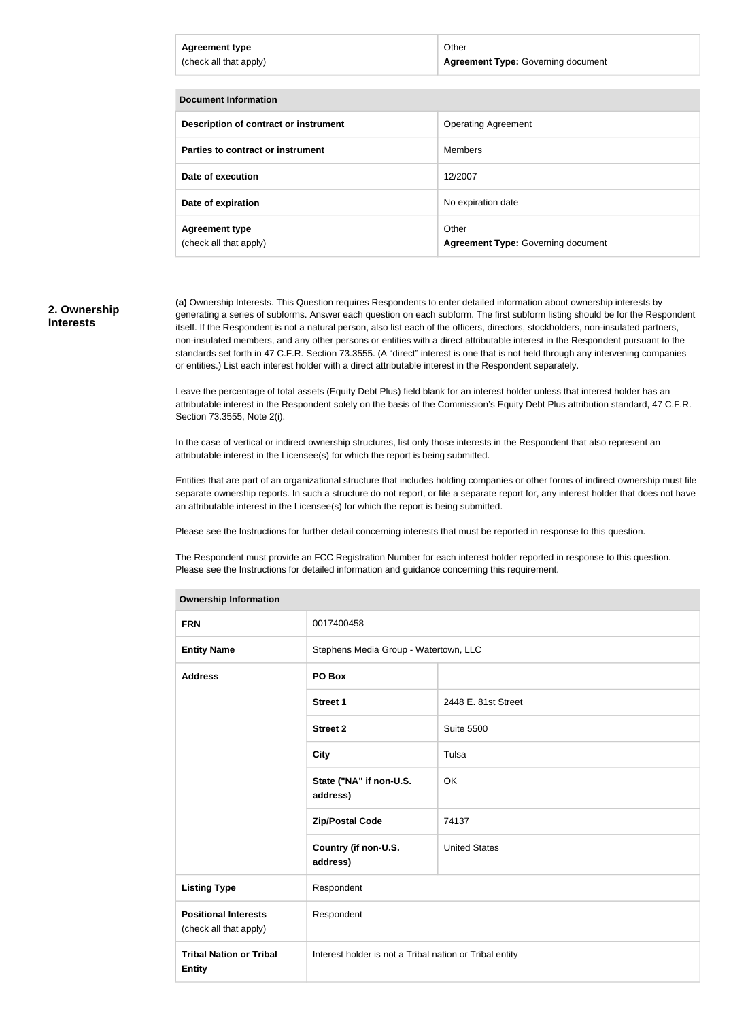| <b>Agreement type</b><br>(check all that apply) | Other<br><b>Agreement Type: Governing document</b> |
|-------------------------------------------------|----------------------------------------------------|
|                                                 |                                                    |
| Document Information                            |                                                    |
| Description of contract or instrument           | <b>Operating Agreement</b>                         |
| Parties to contract or instrument               | Members                                            |
|                                                 |                                                    |

| Date of expiration     | No expiration date                        |
|------------------------|-------------------------------------------|
| <b>Agreement type</b>  | Other                                     |
| (check all that apply) | <b>Agreement Type: Governing document</b> |

**Date of execution** 12/2007

#### **2. Ownership Interests**

**(a)** Ownership Interests. This Question requires Respondents to enter detailed information about ownership interests by generating a series of subforms. Answer each question on each subform. The first subform listing should be for the Respondent itself. If the Respondent is not a natural person, also list each of the officers, directors, stockholders, non-insulated partners, non-insulated members, and any other persons or entities with a direct attributable interest in the Respondent pursuant to the standards set forth in 47 C.F.R. Section 73.3555. (A "direct" interest is one that is not held through any intervening companies or entities.) List each interest holder with a direct attributable interest in the Respondent separately.

Leave the percentage of total assets (Equity Debt Plus) field blank for an interest holder unless that interest holder has an attributable interest in the Respondent solely on the basis of the Commission's Equity Debt Plus attribution standard, 47 C.F.R. Section 73.3555, Note 2(i).

In the case of vertical or indirect ownership structures, list only those interests in the Respondent that also represent an attributable interest in the Licensee(s) for which the report is being submitted.

Entities that are part of an organizational structure that includes holding companies or other forms of indirect ownership must file separate ownership reports. In such a structure do not report, or file a separate report for, any interest holder that does not have an attributable interest in the Licensee(s) for which the report is being submitted.

Please see the Instructions for further detail concerning interests that must be reported in response to this question.

The Respondent must provide an FCC Registration Number for each interest holder reported in response to this question. Please see the Instructions for detailed information and guidance concerning this requirement.

| <b>Ownership information</b>                          |                                                         |                      |
|-------------------------------------------------------|---------------------------------------------------------|----------------------|
| <b>FRN</b>                                            | 0017400458                                              |                      |
| <b>Entity Name</b>                                    | Stephens Media Group - Watertown, LLC                   |                      |
| <b>Address</b>                                        | PO Box                                                  |                      |
|                                                       | <b>Street 1</b>                                         | 2448 E. 81st Street  |
|                                                       | <b>Street 2</b>                                         | <b>Suite 5500</b>    |
|                                                       | <b>City</b>                                             | Tulsa                |
|                                                       | State ("NA" if non-U.S.<br>address)                     | OK                   |
|                                                       | <b>Zip/Postal Code</b>                                  | 74137                |
|                                                       | Country (if non-U.S.<br>address)                        | <b>United States</b> |
| <b>Listing Type</b>                                   | Respondent                                              |                      |
| <b>Positional Interests</b><br>(check all that apply) | Respondent                                              |                      |
| <b>Tribal Nation or Tribal</b><br><b>Entity</b>       | Interest holder is not a Tribal nation or Tribal entity |                      |
|                                                       |                                                         |                      |

#### **Ownership Information**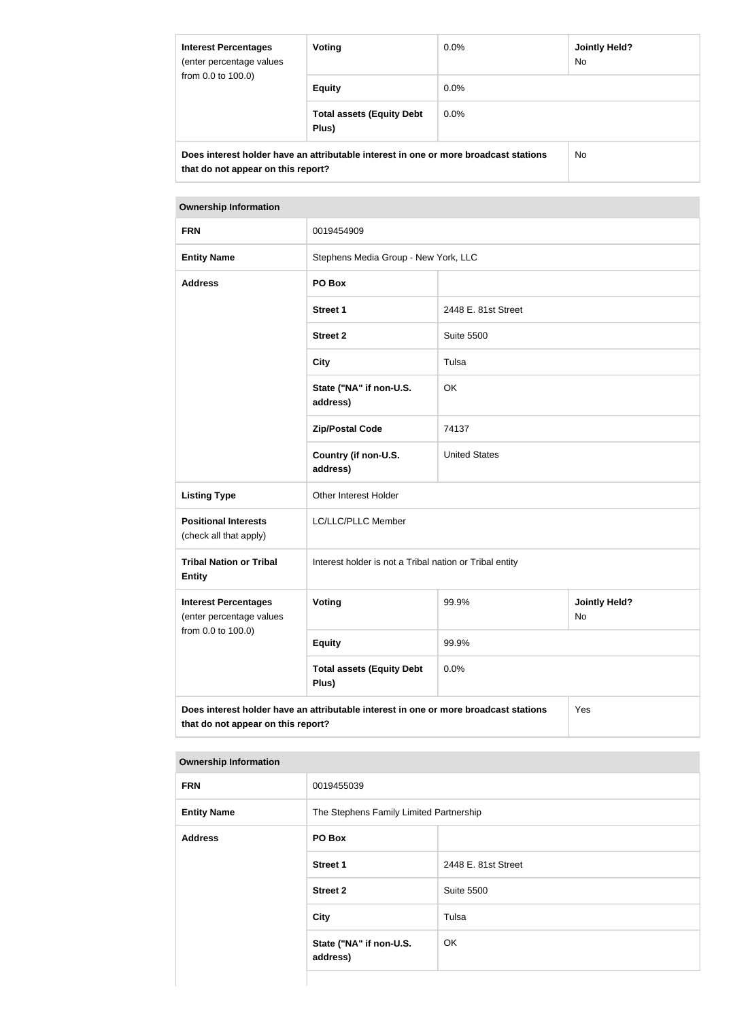| <b>Interest Percentages</b><br>(enter percentage values                                                                    | Voting                                    | $0.0\%$ | <b>Jointly Held?</b><br>No. |  |  |
|----------------------------------------------------------------------------------------------------------------------------|-------------------------------------------|---------|-----------------------------|--|--|
| from 0.0 to 100.0)                                                                                                         | <b>Equity</b>                             | $0.0\%$ |                             |  |  |
|                                                                                                                            | <b>Total assets (Equity Debt</b><br>Plus) | $0.0\%$ |                             |  |  |
| Does interest holder have an attributable interest in one or more broadcast stations<br>that do not appear on this report? |                                           |         | No.                         |  |  |

#### **Ownership Information**

| <b>FRN</b>                                                                                                                        | 0019454909                                              |                      |                            |
|-----------------------------------------------------------------------------------------------------------------------------------|---------------------------------------------------------|----------------------|----------------------------|
| <b>Entity Name</b>                                                                                                                | Stephens Media Group - New York, LLC                    |                      |                            |
| <b>Address</b>                                                                                                                    | PO Box                                                  |                      |                            |
|                                                                                                                                   | <b>Street 1</b>                                         | 2448 E. 81st Street  |                            |
|                                                                                                                                   | <b>Street 2</b>                                         | <b>Suite 5500</b>    |                            |
|                                                                                                                                   | <b>City</b>                                             | Tulsa                |                            |
|                                                                                                                                   | State ("NA" if non-U.S.<br>address)                     | OK                   |                            |
|                                                                                                                                   | <b>Zip/Postal Code</b>                                  | 74137                |                            |
|                                                                                                                                   | Country (if non-U.S.<br>address)                        | <b>United States</b> |                            |
| <b>Listing Type</b>                                                                                                               | Other Interest Holder                                   |                      |                            |
| <b>Positional Interests</b><br>(check all that apply)                                                                             | LC/LLC/PLLC Member                                      |                      |                            |
| <b>Tribal Nation or Tribal</b><br><b>Entity</b>                                                                                   | Interest holder is not a Tribal nation or Tribal entity |                      |                            |
| <b>Interest Percentages</b><br>(enter percentage values                                                                           | <b>Voting</b>                                           | 99.9%                | <b>Jointly Held?</b><br>No |
| from 0.0 to 100.0)                                                                                                                | <b>Equity</b>                                           | 99.9%                |                            |
|                                                                                                                                   | <b>Total assets (Equity Debt</b><br>Plus)               | 0.0%                 |                            |
| Does interest holder have an attributable interest in one or more broadcast stations<br>Yes<br>that do not appear on this report? |                                                         |                      |                            |

### **Ownership Information**

| <b>FRN</b>         | 0019455039                              |                     |
|--------------------|-----------------------------------------|---------------------|
| <b>Entity Name</b> | The Stephens Family Limited Partnership |                     |
| <b>Address</b>     | PO Box                                  |                     |
|                    | <b>Street 1</b>                         | 2448 E. 81st Street |
|                    | <b>Street 2</b>                         | <b>Suite 5500</b>   |
|                    | <b>City</b>                             | Tulsa               |
|                    | State ("NA" if non-U.S.<br>address)     | OK                  |
|                    |                                         |                     |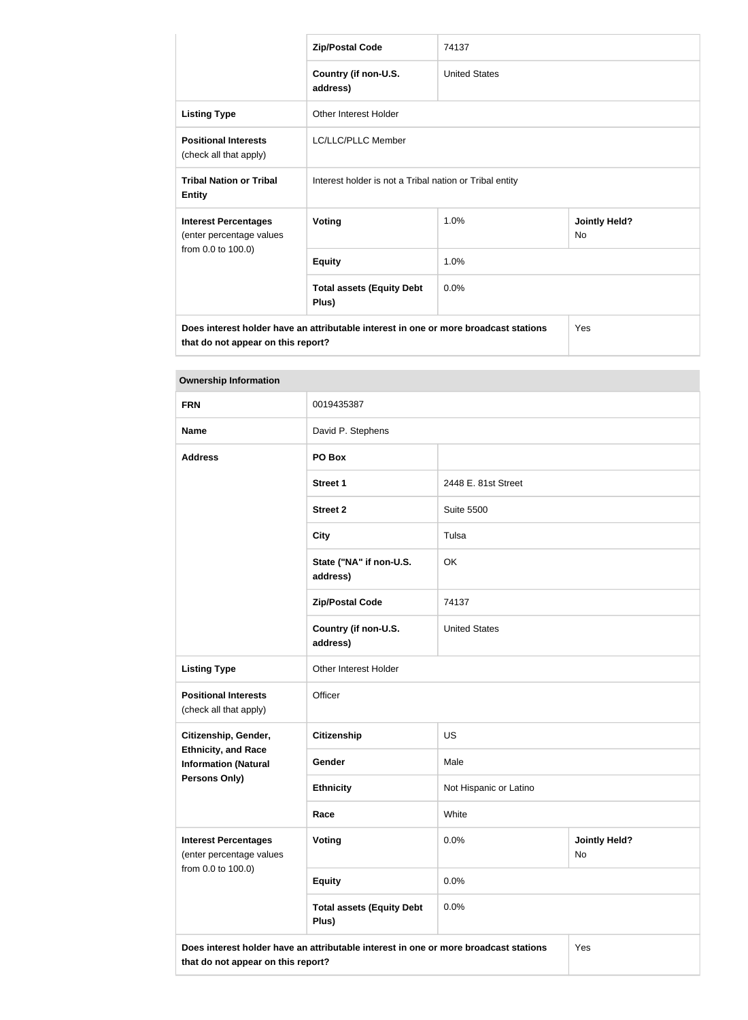|                                                                                                                            | <b>Zip/Postal Code</b>                                  | 74137                |                                   |
|----------------------------------------------------------------------------------------------------------------------------|---------------------------------------------------------|----------------------|-----------------------------------|
|                                                                                                                            | Country (if non-U.S.<br>address)                        | <b>United States</b> |                                   |
| <b>Listing Type</b>                                                                                                        | Other Interest Holder                                   |                      |                                   |
| <b>Positional Interests</b><br>(check all that apply)                                                                      | <b>LC/LLC/PLLC Member</b>                               |                      |                                   |
| <b>Tribal Nation or Tribal</b><br><b>Entity</b>                                                                            | Interest holder is not a Tribal nation or Tribal entity |                      |                                   |
| <b>Interest Percentages</b><br>(enter percentage values                                                                    | <b>Voting</b>                                           | 1.0%                 | <b>Jointly Held?</b><br><b>No</b> |
| from 0.0 to 100.0)                                                                                                         | <b>Equity</b>                                           | 1.0%                 |                                   |
|                                                                                                                            | <b>Total assets (Equity Debt</b><br>Plus)               | 0.0%                 |                                   |
| Does interest holder have an attributable interest in one or more broadcast stations<br>that do not appear on this report? |                                                         |                      | Yes                               |

| <b>Ownership Information</b>                                                  |                                           |                        |                            |  |
|-------------------------------------------------------------------------------|-------------------------------------------|------------------------|----------------------------|--|
| <b>FRN</b>                                                                    | 0019435387                                |                        |                            |  |
| <b>Name</b>                                                                   | David P. Stephens                         |                        |                            |  |
| <b>Address</b>                                                                | PO Box                                    |                        |                            |  |
|                                                                               | <b>Street 1</b>                           | 2448 E. 81st Street    |                            |  |
|                                                                               | <b>Street 2</b>                           | <b>Suite 5500</b>      |                            |  |
|                                                                               | <b>City</b>                               | Tulsa                  |                            |  |
|                                                                               | State ("NA" if non-U.S.<br>address)       | OK                     |                            |  |
|                                                                               | <b>Zip/Postal Code</b>                    | 74137                  |                            |  |
|                                                                               | Country (if non-U.S.<br>address)          | <b>United States</b>   |                            |  |
| <b>Listing Type</b>                                                           | Other Interest Holder                     |                        |                            |  |
| <b>Positional Interests</b><br>(check all that apply)                         | Officer                                   |                        |                            |  |
| Citizenship, Gender,                                                          | <b>Citizenship</b>                        | <b>US</b>              |                            |  |
| <b>Ethnicity, and Race</b><br><b>Information (Natural</b><br>Persons Only)    | Gender                                    | Male                   |                            |  |
|                                                                               | <b>Ethnicity</b>                          | Not Hispanic or Latino |                            |  |
|                                                                               | Race                                      | White                  |                            |  |
| <b>Interest Percentages</b><br>(enter percentage values<br>from 0.0 to 100.0) | Voting                                    | 0.0%                   | <b>Jointly Held?</b><br>No |  |
|                                                                               | <b>Equity</b>                             | 0.0%                   |                            |  |
|                                                                               | <b>Total assets (Equity Debt</b><br>Plus) | 0.0%                   |                            |  |

**that do not appear on this report?**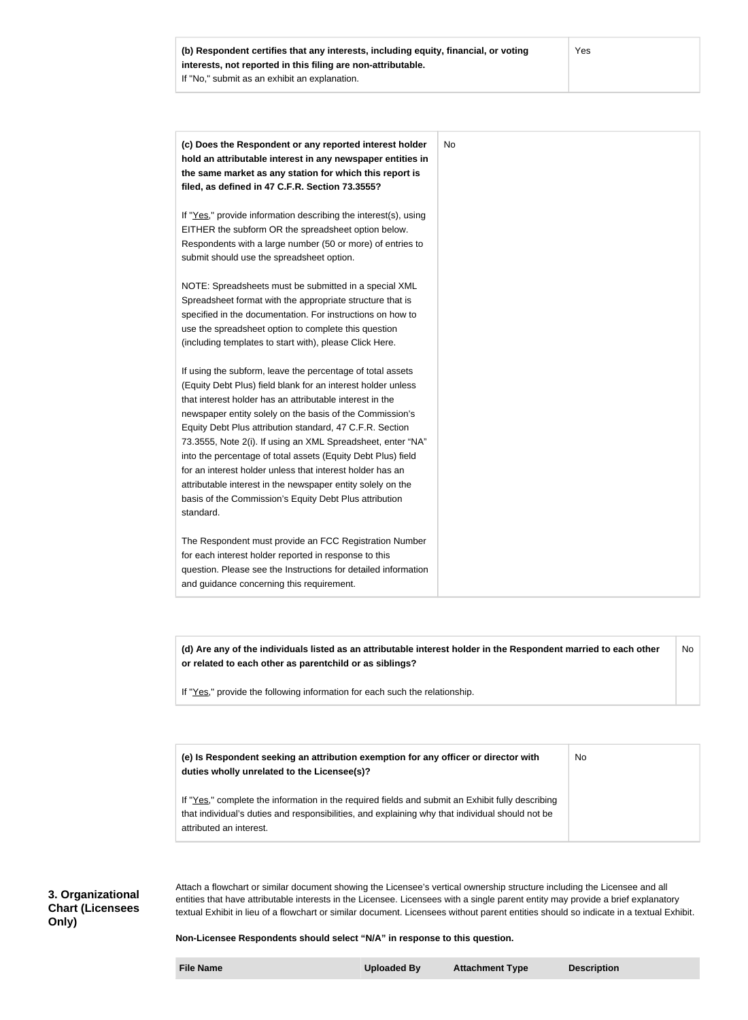| (c) Does the Respondent or any reported interest holder         | No |
|-----------------------------------------------------------------|----|
| hold an attributable interest in any newspaper entities in      |    |
| the same market as any station for which this report is         |    |
| filed, as defined in 47 C.F.R. Section 73.3555?                 |    |
| If "Yes," provide information describing the interest(s), using |    |
| EITHER the subform OR the spreadsheet option below.             |    |
| Respondents with a large number (50 or more) of entries to      |    |
| submit should use the spreadsheet option.                       |    |
| NOTE: Spreadsheets must be submitted in a special XML           |    |
| Spreadsheet format with the appropriate structure that is       |    |
| specified in the documentation. For instructions on how to      |    |
| use the spreadsheet option to complete this question            |    |
| (including templates to start with), please Click Here.         |    |
| If using the subform, leave the percentage of total assets      |    |
| (Equity Debt Plus) field blank for an interest holder unless    |    |
| that interest holder has an attributable interest in the        |    |
| newspaper entity solely on the basis of the Commission's        |    |
| Equity Debt Plus attribution standard, 47 C.F.R. Section        |    |
| 73.3555, Note 2(i). If using an XML Spreadsheet, enter "NA"     |    |
| into the percentage of total assets (Equity Debt Plus) field    |    |
| for an interest holder unless that interest holder has an       |    |
| attributable interest in the newspaper entity solely on the     |    |
| basis of the Commission's Equity Debt Plus attribution          |    |
| standard.                                                       |    |
| The Respondent must provide an FCC Registration Number          |    |
| for each interest holder reported in response to this           |    |
| question. Please see the Instructions for detailed information  |    |
| and guidance concerning this requirement.                       |    |

**(d) Are any of the individuals listed as an attributable interest holder in the Respondent married to each other or related to each other as parentchild or as siblings?** No

If "Yes," provide the following information for each such the relationship.

| (e) Is Respondent seeking an attribution exemption for any officer or director with<br>duties wholly unrelated to the Licensee(s)? | <b>No</b> |
|------------------------------------------------------------------------------------------------------------------------------------|-----------|
| If "Yes," complete the information in the required fields and submit an Exhibit fully describing                                   |           |
| that individual's duties and responsibilities, and explaining why that individual should not be<br>attributed an interest.         |           |

## **3. Organizational Chart (Licensees Only)**

Attach a flowchart or similar document showing the Licensee's vertical ownership structure including the Licensee and all entities that have attributable interests in the Licensee. Licensees with a single parent entity may provide a brief explanatory textual Exhibit in lieu of a flowchart or similar document. Licensees without parent entities should so indicate in a textual Exhibit.

#### **Non-Licensee Respondents should select "N/A" in response to this question.**

**File Name Uploaded By Attachment Type Description**